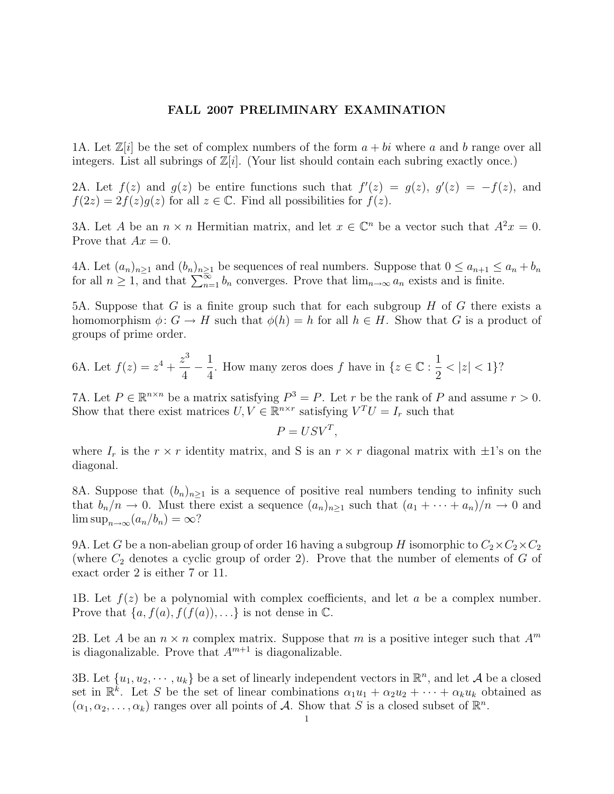## FALL 2007 PRELIMINARY EXAMINATION

1A. Let  $\mathbb{Z}[i]$  be the set of complex numbers of the form  $a + bi$  where a and b range over all integers. List all subrings of  $\mathbb{Z}[i]$ . (Your list should contain each subring exactly once.)

2A. Let  $f(z)$  and  $g(z)$  be entire functions such that  $f'(z) = g(z)$ ,  $g'(z) = -f(z)$ , and  $f(2z) = 2f(z)g(z)$  for all  $z \in \mathbb{C}$ . Find all possibilities for  $f(z)$ .

3A. Let A be an  $n \times n$  Hermitian matrix, and let  $x \in \mathbb{C}^n$  be a vector such that  $A^2x = 0$ . Prove that  $Ax = 0$ .

4A. Let  $(a_n)_{n\geq 1}$  and  $(b_n)_{n\geq 1}$  be sequences of real numbers. Suppose that  $0 \leq a_{n+1} \leq a_n + b_n$ for all  $n \geq 1$ , and that  $\sum_{n=1}^{\infty} b_n$  converges. Prove that  $\lim_{n\to\infty} a_n$  exists and is finite.

5A. Suppose that G is a finite group such that for each subgroup  $H$  of G there exists a homomorphism  $\phi: G \to H$  such that  $\phi(h) = h$  for all  $h \in H$ . Show that G is a product of groups of prime order.

6A. Let 
$$
f(z) = z^4 + \frac{z^3}{4} - \frac{1}{4}
$$
. How many zeros does f have in  $\{z \in \mathbb{C} : \frac{1}{2} < |z| < 1\}$ ?

7A. Let  $P \in \mathbb{R}^{n \times n}$  be a matrix satisfying  $P^3 = P$ . Let r be the rank of P and assume  $r > 0$ . Show that there exist matrices  $U, V \in \mathbb{R}^{n \times r}$  satisfying  $V^T U = I_r$  such that

$$
P = USV^T,
$$

where  $I_r$  is the  $r \times r$  identity matrix, and S is an  $r \times r$  diagonal matrix with  $\pm 1$ 's on the diagonal.

8A. Suppose that  $(b_n)_{n\geq 1}$  is a sequence of positive real numbers tending to infinity such that  $b_n/n \to 0$ . Must there exist a sequence  $(a_n)_{n\geq 1}$  such that  $(a_1 + \cdots + a_n)/n \to 0$  and  $\limsup_{n\to\infty}$   $(a_n/b_n) = \infty$ ?

9A. Let G be a non-abelian group of order 16 having a subgroup H isomorphic to  $C_2 \times C_2 \times C_2$ (where  $C_2$  denotes a cyclic group of order 2). Prove that the number of elements of G of exact order 2 is either 7 or 11.

1B. Let  $f(z)$  be a polynomial with complex coefficients, and let a be a complex number. Prove that  $\{a, f(a), f(f(a)), \ldots\}$  is not dense in  $\mathbb{C}$ .

2B. Let A be an  $n \times n$  complex matrix. Suppose that m is a positive integer such that  $A^m$ is diagonalizable. Prove that  $A^{m+1}$  is diagonalizable.

3B. Let  $\{u_1, u_2, \dots, u_k\}$  be a set of linearly independent vectors in  $\mathbb{R}^n$ , and let A be a closed set in  $\mathbb{R}^k$ . Let S be the set of linear combinations  $\alpha_1u_1 + \alpha_2u_2 + \cdots + \alpha_ku_k$  obtained as  $(\alpha_1, \alpha_2, \ldots, \alpha_k)$  ranges over all points of A. Show that S is a closed subset of  $\mathbb{R}^n$ .